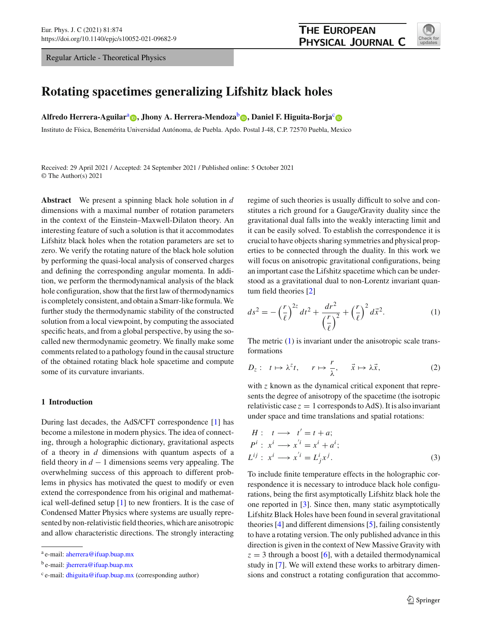Regular Article - Theoretical Physics



# **Rotating spacetimes generalizing Lifshitz black holes**

**Alfredo Herrera-Aguilar**<sup>a</sup> **[,](http://orcid.org/0000-0003-4918-2231) Jhony A. Herrera-Mendoza**<sup>b</sup> **[,](http://orcid.org/0000-0003-3814-060X) Daniel F. Higuita-Borja**[c](http://orcid.org/0000-0001-5630-4343)

Instituto de Física, Benemérita Universidad Autónoma, de Puebla. Apdo. Postal J-48, C.P. 72570 Puebla, Mexico

Received: 29 April 2021 / Accepted: 24 September 2021 / Published online: 5 October 2021 © The Author(s) 2021

**Abstract** We present a spinning black hole solution in *d* dimensions with a maximal number of rotation parameters in the context of the Einstein–Maxwell-Dilaton theory. An interesting feature of such a solution is that it accommodates Lifshitz black holes when the rotation parameters are set to zero. We verify the rotating nature of the black hole solution by performing the quasi-local analysis of conserved charges and defining the corresponding angular momenta. In addition, we perform the thermodynamical analysis of the black hole configuration, show that the first law of thermodynamics is completely consistent, and obtain a Smarr-like formula. We further study the thermodynamic stability of the constructed solution from a local viewpoint, by computing the associated specific heats, and from a global perspective, by using the socalled new thermodynamic geometry. We finally make some comments related to a pathology found in the causal structure of the obtained rotating black hole spacetime and compute some of its curvature invariants.

# **1 Introduction**

During last decades, the AdS/CFT correspondence [\[1](#page-8-0)] has become a milestone in modern physics. The idea of connecting, through a holographic dictionary, gravitational aspects of a theory in *d* dimensions with quantum aspects of a field theory in  $d - 1$  dimensions seems very appealing. The overwhelming success of this approach to different problems in physics has motivated the quest to modify or even extend the correspondence from his original and mathematical well-defined setup [\[1\]](#page-8-0) to new frontiers. It is the case of Condensed Matter Physics where systems are usually represented by non-relativistic field theories, which are anisotropic and allow characteristic directions. The strongly interacting

regime of such theories is usually difficult to solve and constitutes a rich ground for a Gauge/Gravity duality since the gravitational dual falls into the weakly interacting limit and it can be easily solved. To establish the correspondence it is crucial to have objects sharing symmetries and physical properties to be connected through the duality. In this work we will focus on anisotropic gravitational configurations, being an important case the Lifshitz spacetime which can be understood as a gravitational dual to non-Lorentz invariant quantum field theories [\[2\]](#page-8-1)

<span id="page-0-0"></span>
$$
ds^{2} = -\left(\frac{r}{\ell}\right)^{2z}dt^{2} + \frac{dr^{2}}{\left(\frac{r}{\ell}\right)^{2}} + \left(\frac{r}{\ell}\right)^{2}d\vec{x}^{2}.
$$
 (1)

The metric  $(1)$  is invariant under the anisotropic scale transformations

$$
D_z: t \mapsto \lambda^z t, \quad r \mapsto \frac{r}{\lambda}, \quad \vec{x} \mapsto \lambda \vec{x}, \tag{2}
$$

with *z* known as the dynamical critical exponent that represents the degree of anisotropy of the spacetime (the isotropic relativistic case  $z = 1$  corresponds to AdS). It is also invariant under space and time translations and spatial rotations:

$$
H: \t t \longrightarrow t' = t + a;
$$
  
\n
$$
P^i: x^i \longrightarrow x'^i = x^i + a^i;
$$
  
\n
$$
L^{ij}: x^i \longrightarrow x'^i = L^i_j x^j.
$$
  
\n(3)

To include finite temperature effects in the holographic correspondence it is necessary to introduce black hole configurations, being the first asymptotically Lifshitz black hole the one reported in [\[3](#page-8-2)]. Since then, many static asymptotically Lifshitz Black Holes have been found in several gravitational theories [\[4\]](#page-8-3) and different dimensions [\[5](#page-8-4)], failing consistently to have a rotating version. The only published advance in this direction is given in the context of New Massive Gravity with  $z = 3$  through a boost [\[6\]](#page-8-5), with a detailed thermodynamical study in [\[7\]](#page-8-6). We will extend these works to arbitrary dimensions and construct a rotating configuration that accommo-

<sup>a</sup> e-mail: [aherrera@ifuap.buap.mx](mailto:aherrera@ifuap.buap.mx)

<sup>b</sup> e-mail: [jherrera@ifuap.buap.mx](mailto:jherrera@ifuap.buap.mx)

 $c$  e-mail: [dhiguita@ifuap.buap.mx](mailto:dhiguita@ifuap.buap.mx) (corresponding author)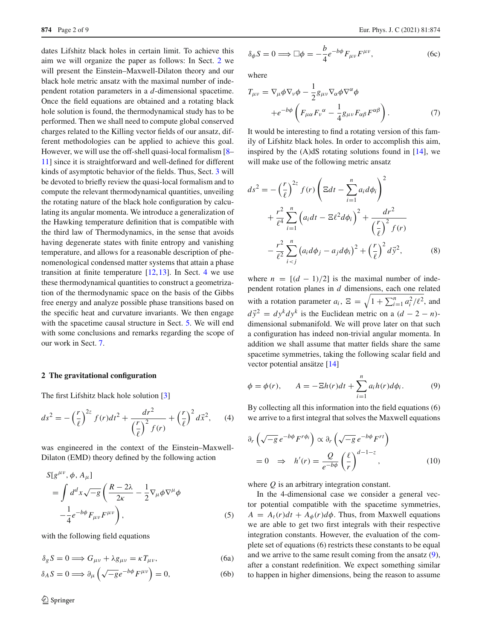dates Lifshitz black holes in certain limit. To achieve this aim we will organize the paper as follows: In Sect. [2](#page-1-0) we will present the Einstein–Maxwell-Dilaton theory and our black hole metric ansatz with the maximal number of independent rotation parameters in a *d*-dimensional spacetime. Once the field equations are obtained and a rotating black hole solution is found, the thermodynamical study has to be performed. Then we shall need to compute global conserved charges related to the Killing vector fields of our ansatz, different methodologies can be applied to achieve this goal. However, we will use the off-shell quasi-local formalism [\[8](#page-8-7)– [11](#page-8-8)] since it is straightforward and well-defined for different kinds of asymptotic behavior of the fields. Thus, Sect. [3](#page-2-0) will be devoted to briefly review the quasi-local formalism and to compute the relevant thermodynamical quantities, unveiling the rotating nature of the black hole configuration by calculating its angular momenta. We introduce a generalization of the Hawking temperature definition that is compatible with the third law of Thermodynamics, in the sense that avoids having degenerate states with finite entropy and vanishing temperature, and allows for a reasonable description of phenomenological condensed matter systems that attain a phase transition at finite temperature  $[12, 13]$  $[12, 13]$ . In Sect. [4](#page-4-0) we use these thermodynamical quantities to construct a geometrization of the thermodynamic space on the basis of the Gibbs free energy and analyze possible phase transitions based on the specific heat and curvature invariants. We then engage with the spacetime causal structure in Sect. [5.](#page-6-0) We will end with some conclusions and remarks regarding the scope of our work in Sect. [7.](#page-7-0)

# <span id="page-1-0"></span>**2 The gravitational configuration**

The first Lifshitz black hole solution [\[3](#page-8-2)]

$$
ds^{2} = -\left(\frac{r}{\ell}\right)^{2z} f(r)dt^{2} + \frac{dr^{2}}{\left(\frac{r}{\ell}\right)^{2} f(r)} + \left(\frac{r}{\ell}\right)^{2} d\vec{x}^{2}, \quad (4)
$$

was engineered in the context of the Einstein–Maxwell-Dilaton (EMD) theory defined by the following action

<span id="page-1-4"></span>
$$
S[g^{\mu\nu}, \phi, A_{\mu}]
$$
  
= 
$$
\int d^d x \sqrt{-g} \left( \frac{R - 2\lambda}{2\kappa} - \frac{1}{2} \nabla_{\mu} \phi \nabla^{\mu} \phi \right)
$$

$$
- \frac{1}{4} e^{-b\phi} F_{\mu\nu} F^{\mu\nu} \right), \qquad (5)
$$

with the following field equations

$$
\delta_g S = 0 \Longrightarrow G_{\mu\nu} + \lambda g_{\mu\nu} = \kappa T_{\mu\nu}, \tag{6a}
$$

$$
\delta_A S = 0 \Longrightarrow \partial_{\mu} \left( \sqrt{-g} e^{-b\phi} F^{\mu \nu} \right) = 0, \tag{6b}
$$

$$
\delta_{\phi} S = 0 \Longrightarrow \Box \phi = -\frac{b}{4} e^{-b\phi} F_{\mu\nu} F^{\mu\nu}, \tag{6c}
$$

where

$$
T_{\mu\nu} = \nabla_{\mu}\phi\nabla_{\nu}\phi - \frac{1}{2}g_{\mu\nu}\nabla_{\alpha}\phi\nabla^{\alpha}\phi
$$

$$
+e^{-b\phi}\left(F_{\mu\alpha}F_{\nu}^{\alpha} - \frac{1}{4}g_{\mu\nu}F_{\alpha\beta}F^{\alpha\beta}\right).
$$
(7)

It would be interesting to find a rotating version of this family of Lifshitz black holes. In order to accomplish this aim, inspired by the  $(A)dS$  rotating solutions found in [\[14](#page-8-11)], we will make use of the following metric ansatz

$$
ds^{2} = -\left(\frac{r}{\ell}\right)^{2z} f(r) \left(\Xi dt - \sum_{i=1}^{n} a_{i} d\phi_{i}\right)^{2}
$$
  
+ 
$$
\frac{r^{2}}{\ell^{4}} \sum_{i=1}^{n} \left(a_{i} dt - \Xi \ell^{2} d\phi_{i}\right)^{2} + \frac{dr^{2}}{\left(\frac{r}{\ell}\right)^{2} f(r)}
$$
  
- 
$$
\frac{r^{2}}{\ell^{2}} \sum_{i(8)
$$

<span id="page-1-3"></span>where  $n = [(d - 1)/2]$  is the maximal number of independent rotation planes in *d* dimensions, each one related with a rotation parameter  $a_i$ ,  $\Xi = \sqrt{1 + \sum_{i=1}^n a_i^2/\ell^2}$ , and  $d\vec{y}^2 = dy^k dy^k$  is the Euclidean metric on a  $(d - 2 - n)$ dimensional submanifold. We will prove later on that such a configuration has indeed non-trivial angular momenta. In addition we shall assume that matter fields share the same spacetime symmetries, taking the following scalar field and vector potential ansätze [\[14\]](#page-8-11)

<span id="page-1-1"></span>
$$
\phi = \phi(r), \qquad A = -\Xi h(r)dt + \sum_{i=1}^{n} a_i h(r) d\phi_i.
$$
 (9)

By collecting all this information into the field equations (6) we arrive to a first integral that solves the Maxwell equations

<span id="page-1-2"></span>
$$
\partial_r \left( \sqrt{-g} \, e^{-b\phi} F^{r\phi_i} \right) \propto \partial_r \left( \sqrt{-g} \, e^{-b\phi} F^{rt} \right)
$$
\n
$$
= 0 \quad \Rightarrow \quad h'(r) = \frac{Q}{e^{-b\phi}} \left( \frac{\ell}{r} \right)^{d-1-z}, \tag{10}
$$

where *Q* is an arbitrary integration constant.

In the 4-dimensional case we consider a general vector potential compatible with the spacetime symmetries,  $A = A_t(r)dt + A_\phi(r)d\phi$ . Thus, from Maxwell equations we are able to get two first integrals with their respective integration constants. However, the evaluation of the complete set of equations (6) restricts these constants to be equal and we arrive to the same result coming from the ansatz [\(9\)](#page-1-1), after a constant redefinition. We expect something similar to happen in higher dimensions, being the reason to assume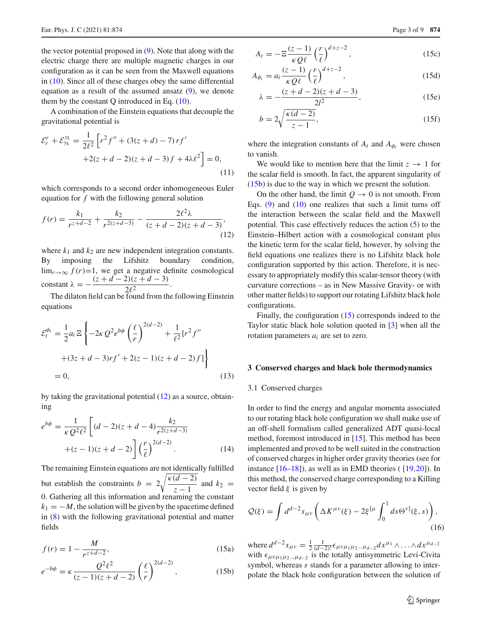the vector potential proposed in [\(9\)](#page-1-1). Note that along with the electric charge there are multiple magnetic charges in our configuration as it can be seen from the Maxwell equations in [\(10\)](#page-1-2). Since all of these charges obey the same differential equation as a result of the assumed ansatz [\(9\)](#page-1-1), we denote them by the constant  $Q$  introduced in Eq.  $(10)$ .

A combination of the Einstein equations that decouple the gravitational potential is

$$
\mathcal{E}_r^r + \mathcal{E}_{y_k}^{y_k} = \frac{1}{2\ell^2} \left[ r^2 f'' + (3(z+d) - 7) r f' + 2(z+d-2)(z+d-3) f + 4\lambda \ell^2 \right] = 0,
$$
\n(11)

which corresponds to a second order inhomogeneous Euler equation for *f* with the following general solution

<span id="page-2-1"></span>
$$
f(r) = \frac{k_1}{r^{z+d-2}} + \frac{k_2}{r^{2(z+d-3)}} - \frac{2\ell^2 \lambda}{(z+d-2)(z+d-3)},
$$
\n(12)

where  $k_1$  and  $k_2$  are new independent integration constants. By imposing the Lifshitz boundary condition,  $\lim_{r\to\infty} f(r)=1$ , we get a negative definite cosmological constant  $\lambda = -\frac{(z + d - 2)(z + d - 3)}{2\ell^2}$ .  $\overline{2l^2}$ 

The dilaton field can be found from the following Einstein equations

$$
\mathcal{E}_{t}^{\phi_{i}} = \frac{1}{2} a_{i} \Xi \left\{ -2\kappa Q^{2} e^{b\phi} \left( \frac{\ell}{r} \right)^{2(d-2)} + \frac{1}{\ell^{2}} [r^{2} f'' + (3z + d - 3)rf' + 2(z - 1)(z + d - 2)f] \right\}
$$
  
= 0, (13)

by taking the gravitational potential [\(12\)](#page-2-1) as a source, obtaining

$$
e^{b\phi} = \frac{1}{\kappa Q^2 \ell^2} \left[ (d-2)(z+d-4) \frac{k_2}{r^{2(z+d-3)}} + (z-1)(z+d-2) \right] \left( \frac{r}{\ell} \right)^{2(d-2)}.
$$
 (14)

The remaining Einstein equations are not identically fulfilled but establish the constraints  $b = 2\sqrt{\frac{\kappa(d-2)}{z-1}}$  $\frac{a^{(k)}-b}{z-1}$  and  $k_2 =$ 0. Gathering all this information and renaming the constant  $k_1 = -M$ , the solution will be given by the spacetime defined in [\(8\)](#page-1-3) with the following gravitational potential and matter fields

<span id="page-2-3"></span>
$$
f(r) = 1 - \frac{M}{r^{z+d-2}},
$$
\n(15a)

$$
e^{-b\phi} = \kappa \frac{Q^2 \ell^2}{(z-1)(z+d-2)} \left(\frac{\ell}{r}\right)^{2(d-2)},
$$
 (15b)

$$
A_t = -\Xi \frac{(z-1)}{\kappa Q \ell} \left(\frac{r}{\ell}\right)^{d+z-2},\tag{15c}
$$

$$
A_{\phi_i} = a_i \frac{(z-1)}{\kappa Q \ell} \left(\frac{r}{\ell}\right)^{d+z-2},\tag{15d}
$$

$$
\lambda = -\frac{(z+d-2)(z+d-3)}{2l^2},
$$
\n(15e)

$$
b = 2\sqrt{\frac{\kappa(d-2)}{z-1}},\tag{15f}
$$

where the integration constants of  $A_t$  and  $A_{\phi_i}$  were chosen to vanish.

We would like to mention here that the limit  $z \rightarrow 1$  for the scalar field is smooth. In fact, the apparent singularity of [\(15b\)](#page-2-2) is due to the way in which we present the solution.

On the other hand, the limit  $Q \rightarrow 0$  is not smooth. From Eqs.  $(9)$  and  $(10)$  one realizes that such a limit turns off the interaction between the scalar field and the Maxwell potential. This case effectively reduces the action [\(5\)](#page-1-4) to the Einstein–Hilbert action with a cosmological constant plus the kinetic term for the scalar field, however, by solving the field equations one realizes there is no Lifshitz black hole configuration supported by this action. Therefore, it is necessary to appropriately modify this scalar-tensor theory (with curvature corrections – as in New Massive Gravity- or with other matter fields) to support our rotating Lifshitz black hole configurations.

Finally, the configuration [\(15\)](#page-2-3) corresponds indeed to the Taylor static black hole solution quoted in [\[3](#page-8-2)] when all the rotation parameters *ai* are set to zero.

#### <span id="page-2-0"></span>**3 Conserved charges and black hole thermodynamics**

## 3.1 Conserved charges

In order to find the energy and angular momenta associated to our rotating black hole configuration we shall make use of an off-shell formalism called generalized ADT quasi-local method, foremost introduced in [\[15](#page-8-12)]. This method has been implemented and proved to be well suited in the construction of conserved charges in higher order gravity theories (see for instance  $[16–18]$  $[16–18]$ , as well as in EMD theories ( $[19,20]$  $[19,20]$  $[19,20]$ ). In this method, the conserved charge corresponding to a Killing vector field  $\xi$  is given by

<span id="page-2-4"></span>
$$
\mathcal{Q}(\xi) = \int d^{d-2}x_{\mu\nu} \left( \Delta K^{\mu\nu}(\xi) - 2\xi^{[\mu} \int_0^1 ds \Theta^{\nu]}(\xi, s) \right),\tag{16}
$$

<span id="page-2-5"></span><span id="page-2-2"></span>where  $d^{d-2}x_{\mu\nu} = \frac{1}{2} \frac{1}{(d-2)!} \epsilon_{\mu\nu\mu_1\mu_2\ldots\mu_{d-2}} dx^{\mu_1} \wedge \ldots \wedge dx^{\mu_{d-2}}$ with  $\epsilon_{\mu\nu\mu_1\mu_2...\mu_{d-2}}$  is the totally antisymmetric Levi-Civita symbol, whereas *s* stands for a parameter allowing to interpolate the black hole configuration between the solution of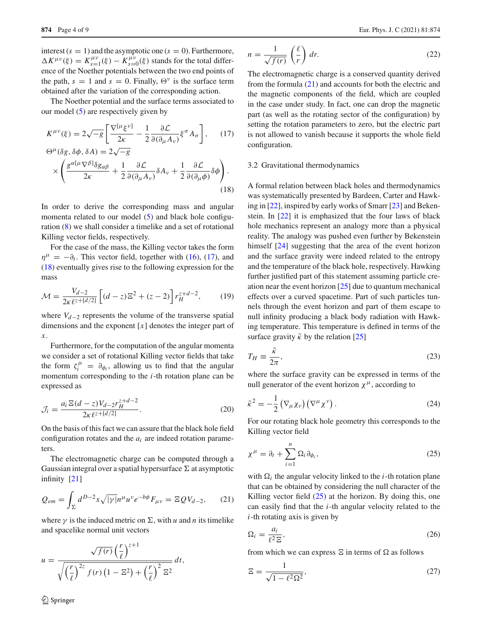interest  $(s = 1)$  and the asymptotic one  $(s = 0)$ . Furthermore,  $\Delta K^{\mu\nu}(\xi) = K_{s=1}^{\mu\nu}(\xi) - K_{s=0}^{\mu\nu}(\xi)$  stands for the total difference of the Noether potentials between the two end points of the path,  $s = 1$  and  $s = 0$ . Finally,  $\Theta^{\nu}$  is the surface term obtained after the variation of the corresponding action.

The Noether potential and the surface terms associated to our model [\(5\)](#page-1-4) are respectively given by

<span id="page-3-0"></span>
$$
K^{\mu\nu}(\xi) = 2\sqrt{-g} \left[ \frac{\nabla^{[\mu}\xi^{\nu]}}{2\kappa} - \frac{1}{2} \frac{\partial \mathcal{L}}{\partial(\partial_{\mu} A_{\nu})} \xi^{\sigma} A_{\sigma} \right], \quad (17)
$$
  

$$
\Theta^{\mu}(\delta g, \delta \phi, \delta A) = 2\sqrt{-g}
$$

$$
\times \left( \frac{g^{\alpha[\mu \nabla^{\beta]} \delta g_{\alpha\beta}}}{2\kappa} + \frac{1}{2} \frac{\partial \mathcal{L}}{\partial(\partial_{\mu} A_{\nu})} \delta A_{\nu} + \frac{1}{2} \frac{\partial \mathcal{L}}{\partial(\partial_{\mu} \phi)} \delta \phi \right).
$$
\n(18)

In order to derive the corresponding mass and angular momenta related to our model [\(5\)](#page-1-4) and black hole configuration [\(8\)](#page-1-3) we shall consider a timelike and a set of rotational Killing vector fields, respectively.

For the case of the mass, the Killing vector takes the form  $\eta^{\mu} = -\partial_t$ . This vector field, together with [\(16\)](#page-2-4), [\(17\)](#page-3-0), and [\(18\)](#page-3-0) eventually gives rise to the following expression for the mass

<span id="page-3-4"></span>
$$
\mathcal{M} = \frac{V_{d-2}}{2\kappa \ell^{z + [d/2]}} \left[ (d-z) \Xi^2 + (z-2) \right] r_H^{z + d - 2},\tag{19}
$$

where *Vd*−<sup>2</sup> represents the volume of the transverse spatial dimensions and the exponent [*x*] denotes the integer part of *x*.

Furthermore, for the computation of the angular momenta we consider a set of rotational Killing vector fields that take the form  $\zeta_i^{\mu} = \partial_{\phi_i}$ , allowing us to find that the angular momentum corresponding to the *i*-th rotation plane can be expressed as

<span id="page-3-5"></span>
$$
\mathcal{J}_i = \frac{a_i \, \Xi(d-z) V_{d-2} r_H^{z+d-2}}{2\kappa \ell^{z+[d/2]}}.
$$
\n(20)

On the basis of this fact we can assure that the black hole field configuration rotates and the *ai* are indeed rotation parameters.

The electromagnetic charge can be computed through a Gaussian integral over a spatial hypersurface  $\Sigma$  at asymptotic infinity [\[21](#page-8-17)]

<span id="page-3-1"></span>
$$
Q_{em} = \int_{\Sigma} d^{D-2}x \sqrt{|\gamma|} n^{\mu} u^{\nu} e^{-b\phi} F_{\mu\nu} = \Xi Q V_{d-2}, \qquad (21)
$$

where  $\gamma$  is the induced metric on  $\Sigma$ , with *u* and *n* its timelike and spacelike normal unit vectors

$$
u = \frac{\sqrt{f(r)} \left(\frac{r}{\ell}\right)^{z+1}}{\sqrt{\left(\frac{r}{\ell}\right)^{2z} f(r) \left(1 - \Xi^2\right) + \left(\frac{r}{\ell}\right)^2 \Xi^2}} dt,
$$

$$
n = \frac{1}{\sqrt{f(r)}} \left(\frac{\ell}{r}\right) dr.
$$
 (22)

The electromagnetic charge is a conserved quantity derived from the formula [\(21\)](#page-3-1) and accounts for both the electric and the magnetic components of the field, which are coupled in the case under study. In fact, one can drop the magnetic part (as well as the rotating sector of the configuration) by setting the rotation parameters to zero, but the electric part is not allowed to vanish because it supports the whole field configuration.

## 3.2 Gravitational thermodynamics

A formal relation between black holes and thermodynamics was systematically presented by Bardeen, Carter and Hawking in [\[22\]](#page-8-18), inspired by early works of Smarr [\[23](#page-8-19)] and Bekenstein. In [\[22](#page-8-18)] it is emphasized that the four laws of black hole mechanics represent an analogy more than a physical reality. The analogy was pushed even further by Bekenstein himself  $[24]$  $[24]$  suggesting that the area of the event horizon and the surface gravity were indeed related to the entropy and the temperature of the black hole, respectively. Hawking further justified part of this statement assuming particle creation near the event horizon [\[25](#page-8-21)] due to quantum mechanical effects over a curved spacetime. Part of such particles tunnels through the event horizon and part of them escape to null infinity producing a black body radiation with Hawking temperature. This temperature is defined in terms of the surface gravity  $\tilde{\kappa}$  by the relation [\[25](#page-8-21)]

$$
T_H \equiv \frac{\tilde{\kappa}}{2\pi},\tag{23}
$$

where the surface gravity can be expressed in terms of the null generator of the event horizon  $\chi^{\mu}$ , according to

$$
\tilde{\kappa}^2 = -\frac{1}{2} \left( \nabla_{\mu} \chi_{\nu} \right) \left( \nabla^{\mu} \chi^{\nu} \right). \tag{24}
$$

For our rotating black hole geometry this corresponds to the Killing vector field

<span id="page-3-2"></span>
$$
\chi^{\mu} = \partial_t + \sum_{i=1}^n \Omega_i \partial_{\phi_i}, \qquad (25)
$$

with  $\Omega_i$  the angular velocity linked to the *i*-th rotation plane that can be obtained by considering the null character of the Killing vector field  $(25)$  at the horizon. By doing this, one can easily find that the *i*-th angular velocity related to the *i*-th rotating axis is given by

<span id="page-3-6"></span>
$$
\Omega_i = \frac{a_i}{\ell^2 \, \Xi},\tag{26}
$$

from which we can express  $\Xi$  in terms of  $\Omega$  as follows

<span id="page-3-3"></span>
$$
\Xi = \frac{1}{\sqrt{1 - \ell^2 \Omega^2}},\tag{27}
$$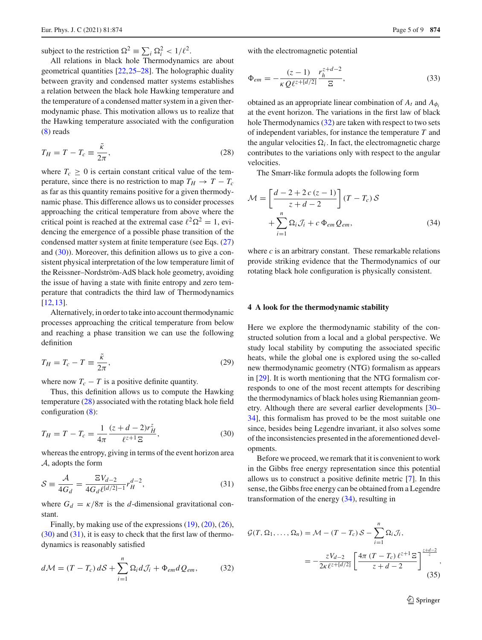subject to the restriction  $\Omega^2 = \sum_i \Omega_i^2 < 1/\ell^2$ .

All relations in black hole Thermodynamics are about geometrical quantities [\[22](#page-8-18)[,25](#page-8-21)[–28\]](#page-8-22). The holographic duality between gravity and condensed matter systems establishes a relation between the black hole Hawking temperature and the temperature of a condensed matter system in a given thermodynamic phase. This motivation allows us to realize that the Hawking temperature associated with the configuration [\(8\)](#page-1-3) reads

<span id="page-4-2"></span>
$$
T_H = T - T_c \equiv \frac{\tilde{\kappa}}{2\pi},\tag{28}
$$

where  $T_c \geq 0$  is certain constant critical value of the temperature, since there is no restriction to map  $T_H \rightarrow T - T_c$ as far as this quantity remains positive for a given thermodynamic phase. This difference allows us to consider processes approaching the critical temperature from above where the critical point is reached at the extremal case  $\ell^2 \Omega^2 = 1$ , evidencing the emergence of a possible phase transition of the condensed matter system at finite temperature (see Eqs. [\(27\)](#page-3-3) and [\(30\)](#page-4-1)). Moreover, this definition allows us to give a consistent physical interpretation of the low temperature limit of the Reissner–Nordström-AdS black hole geometry, avoiding the issue of having a state with finite entropy and zero temperature that contradicts the third law of Thermodynamics [\[12](#page-8-9),[13\]](#page-8-10).

Alternatively, in order to take into account thermodynamic processes approaching the critical temperature from below and reaching a phase transition we can use the following definition

$$
T_H = T_c - T \equiv \frac{\tilde{\kappa}}{2\pi},\tag{29}
$$

where now  $T_c - T$  is a positive definite quantity.

Thus, this definition allows us to compute the Hawking temperature [\(28\)](#page-4-2) associated with the rotating black hole field configuration  $(8)$ :

<span id="page-4-1"></span>
$$
T_H = T - T_c = \frac{1}{4\pi} \frac{(z + d - 2)r_H^z}{\ell^{z+1} \mathbb{E}},\tag{30}
$$

whereas the entropy, giving in terms of the event horizon area *A*, adopts the form

<span id="page-4-3"></span>
$$
S \equiv \frac{\mathcal{A}}{4G_d} = \frac{\Xi V_{d-2}}{4G_d \ell^{[d/2]-1}} r_H^{d-2},\tag{31}
$$

where  $G_d = \kappa/8\pi$  is the *d*-dimensional gravitational constant.

Finally, by making use of the expressions [\(19\)](#page-3-4), [\(20\)](#page-3-5), [\(26\)](#page-3-6),  $(30)$  and  $(31)$ , it is easy to check that the first law of thermodynamics is reasonably satisfied

<span id="page-4-4"></span>
$$
d\mathcal{M} = (T - T_c) dS + \sum_{i=1}^{n} \Omega_i dJ_i + \Phi_{em} dQ_{em}, \qquad (32)
$$

with the electromagnetic potential

$$
\Phi_{em} = -\frac{(z-1)}{\kappa Q \ell^{z + [d/2]}} \frac{r_h^{z+d-2}}{\Xi},\tag{33}
$$

obtained as an appropriate linear combination of  $A_t$  and  $A_{\phi_i}$ at the event horizon. The variations in the first law of black hole Thermodynamics [\(32\)](#page-4-4) are taken with respect to two sets of independent variables, for instance the temperature *T* and the angular velocities  $\Omega_i$ . In fact, the electromagnetic charge contributes to the variations only with respect to the angular velocities.

The Smarr-like formula adopts the following form

<span id="page-4-5"></span>
$$
\mathcal{M} = \left[\frac{d-2+2c(z-1)}{z+d-2}\right](T - T_c) \mathcal{S}
$$

$$
+ \sum_{i=1}^{n} \Omega_i \mathcal{J}_i + c \Phi_{em} Q_{em}, \tag{34}
$$

where *c* is an arbitrary constant. These remarkable relations provide striking evidence that the Thermodynamics of our rotating black hole configuration is physically consistent.

#### <span id="page-4-0"></span>**4 A look for the thermodynamic stability**

Here we explore the thermodynamic stability of the constructed solution from a local and a global perspective. We study local stability by computing the associated specific heats, while the global one is explored using the so-called new thermodynamic geometry (NTG) formalism as appears in [\[29\]](#page-8-23). It is worth mentioning that the NTG formalism corresponds to one of the most recent attempts for describing the thermodynamics of black holes using Riemannian geometry. Although there are several earlier developments [\[30](#page-8-24)– [34](#page-8-25)], this formalism has proved to be the most suitable one since, besides being Legendre invariant, it also solves some of the inconsistencies presented in the aforementioned developments.

Before we proceed, we remark that it is convenient to work in the Gibbs free energy representation since this potential allows us to construct a positive definite metric [\[7](#page-8-6)]. In this sense, the Gibbs free energy can be obtained from a Legendre transformation of the energy [\(34\)](#page-4-5), resulting in

$$
\mathcal{G}(T, \Omega_1, \dots, \Omega_n) = \mathcal{M} - (T - T_c) \mathcal{S} - \sum_{i=1}^n \Omega_i \mathcal{J}_i,
$$
  
= 
$$
-\frac{zV_{d-2}}{2\kappa \ell^{z + [d/2]}} \left[ \frac{4\pi (T - T_c) \ell^{z+1} \Xi}{z + d - 2} \right]^{\frac{z + d - 2}{z}},
$$
(35)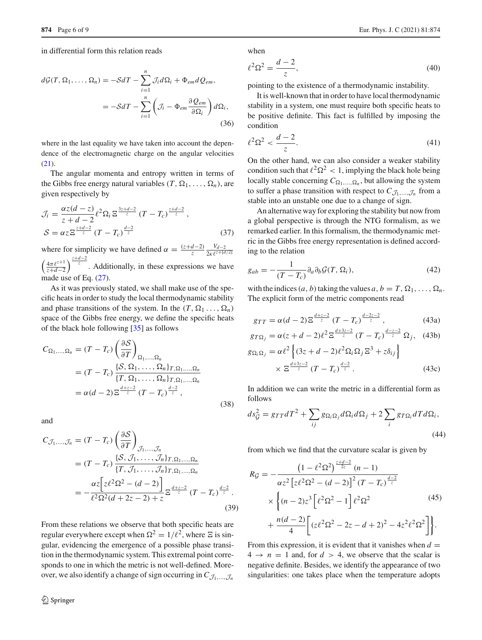in differential form this relation reads

$$
d\mathcal{G}(T, \Omega_1, \dots, \Omega_n) = -\mathcal{S}dT - \sum_{i=1}^n \mathcal{J}_i d\Omega_i + \Phi_{em} dQ_{em},
$$
  
= 
$$
-\mathcal{S}dT - \sum_{i=1}^n \left( \mathcal{J}_i - \Phi_{em} \frac{\partial Q_{em}}{\partial \Omega_i} \right) d\Omega_i,
$$
 (36)

where in the last equality we have taken into account the dependence of the electromagnetic charge on the angular velocities  $(21)$ .

The angular momenta and entropy written in terms of the Gibbs free energy natural variables  $(T, \Omega_1, \ldots, \Omega_n)$ , are given respectively by

$$
\mathcal{J}_i = \frac{\alpha z (d - z)}{z + d - 2} \ell^2 \Omega_i \, \Xi^{\frac{3z + d - 2}{z}} \left( T - T_c \right)^{\frac{z + d - 2}{z}},
$$
\n
$$
\mathcal{S} = \alpha z \, \Xi^{\frac{z + d - 2}{z}} \left( T - T_c \right)^{\frac{d - 2}{z}} \tag{37}
$$

where for simplicity we have defined  $\alpha = \frac{(z+d-2)}{z} \frac{V_{d-2}}{2\kappa \ell^{z+[d/2]}}$  $\int \frac{4\pi \ell^{z+1}}{z}$  $\frac{4\pi \ell^{z+1}}{z+d-2}$  . Additionally, in these expressions we have made use of Eq.  $(27)$ .

As it was previously stated, we shall make use of the specific heats in order to study the local thermodynamic stability and phase transitions of the system. In the  $(T, \Omega_1, \ldots, \Omega_n)$ space of the Gibbs free energy, we define the specific heats of the black hole following [\[35](#page-8-26)] as follows

$$
C_{\Omega_1,\dots,\Omega_n} = (T - T_c) \left( \frac{\partial S}{\partial T} \right)_{\Omega_1,\dots,\Omega_n}
$$
  
=  $(T - T_c) \frac{\{S, \Omega_1, \dots, \Omega_n\}_{T, \Omega_1, \dots, \Omega_n}}{\{T, \Omega_1, \dots, \Omega_n\}_{T, \Omega_1, \dots, \Omega_n}}$   
=  $\alpha(d - 2) \Xi^{\frac{d + z - 2}{z}} (T - T_c)^{\frac{d - 2}{z}},$  (38)

and

$$
C_{\mathcal{J}_1,\dots,\mathcal{J}_n} = (T - T_c) \left( \frac{\partial \mathcal{S}}{\partial T} \right)_{\mathcal{J}_1,\dots,\mathcal{J}_n}
$$
  
=  $(T - T_c) \frac{\{\mathcal{S}, \mathcal{J}_1, \dots, \mathcal{J}_n\}_{T, \Omega_1,\dots, \Omega_n}}{\{T, \mathcal{J}_1, \dots, \mathcal{J}_n\}_{T, \Omega_1,\dots, \Omega_n}}$   
=  $-\frac{\alpha z \left[z\ell^2 \Omega^2 - (d - 2)\right]}{\ell^2 \Omega^2 (d + 2z - 2) + z} \Xi^{\frac{d + z - 2}{z}} (T - T_c)^{\frac{d - 2}{z}}.$  (39)

From these relations we observe that both specific heats are regular everywhere except when  $\Omega^2 = 1/\ell^2$ , where  $\Xi$  is singular, evidencing the emergence of a possible phase transition in the thermodynamic system. This extremal point corresponds to one in which the metric is not well-defined. Moreover, we also identify a change of sign occurring in  $C_{\mathcal{J}_1,\dots,\mathcal{J}_n}$ 

when

-

$$
e^{2}\Omega^{2} = \frac{d-2}{z},
$$
\n(40)

pointing to the existence of a thermodynamic instability.

It is well-known that in order to have local thermodynamic stability in a system, one must require both specific heats to be positive definite. This fact is fulfilled by imposing the condition

$$
\ell^2 \Omega^2 < \frac{d-2}{z}.\tag{41}
$$

On the other hand, we can also consider a weaker stability condition such that  $\ell^2 \Omega^2 < 1$ , implying the black hole being locally stable concerning  $C_{\Omega_1,...,\Omega_n}$ , but allowing the system to suffer a phase transition with respect to  $C_{\mathcal{J}_1,...,\mathcal{J}_n}$  from a stable into an unstable one due to a change of sign.

An alternative way for exploring the stability but now from a global perspective is through the NTG formalism, as we remarked earlier. In this formalism, the thermodynamic metric in the Gibbs free energy representation is defined according to the relation

$$
g_{ab} = -\frac{1}{(T - T_c)} \partial_a \partial_b \mathcal{G}(T, \Omega_i), \qquad (42)
$$

with the indices  $(a, b)$  taking the values  $a, b = T, \Omega_1, \ldots, \Omega_n$ . The explicit form of the metric components read

$$
g_{TT} = \alpha(d-2) \Xi^{\frac{d+z-2}{z}} (T - T_c)^{\frac{d-2z-2}{z}}, \qquad (43a)
$$

$$
g_{T\Omega_j} = \alpha (z + d - 2)\ell^2 \Xi^{\frac{d+3z-2}{z}} (T - T_c)^{\frac{d-z-2}{z}} \Omega_j, \quad (43b)
$$

$$
g_{\Omega_i\Omega_j} = \alpha \ell^2 \left\{ (3z + d - 2)\ell^2 \Omega_i \Omega_j \mathbb{E}^3 + z \delta_{ij} \right\}
$$
  
 
$$
\times \mathbb{E}^{\frac{d+3z-2}{z}} (T - T_c)^{\frac{d-2}{z}}.
$$
 (43c)

In addition we can write the metric in a differential form as follows

$$
ds_G^2 = g_{TT}dT^2 + \sum_{ij} g_{\Omega_i\Omega_j} d\Omega_i d\Omega_j + 2\sum_i g_{T\Omega_i} dT d\Omega_i,
$$
\n(44)

from which we find that the curvature scalar is given by

$$
R_{\mathcal{G}} = -\frac{\left(1 - \ell^2 \Omega^2\right)^{\frac{z+d-2}{2z}} (n-1)}{\alpha z^2 \left[z\ell^2 \Omega^2 - (d-2)\right]^2 (T - T_c)^{\frac{d-2}{z}}} \times \left\{(n-2)z^3 \left[\ell^2 \Omega^2 - 1\right] \ell^2 \Omega^2 + \frac{n(d-2)}{4} \left[\left(z\ell^2 \Omega^2 - 2z - d + 2\right)^2 - 4z^2 \ell^2 \Omega^2\right]\right\}.
$$
\n(45)

From this expression, it is evident that it vanishes when  $d =$  $4 \rightarrow n = 1$  and, for  $d > 4$ , we observe that the scalar is negative definite. Besides, we identify the appearance of two singularities: one takes place when the temperature adopts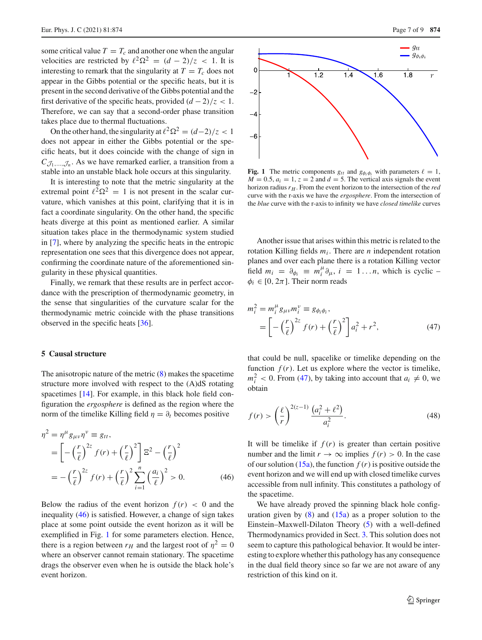some critical value  $T = T_c$  and another one when the angular velocities are restricted by  $\ell^2 \Omega^2 = (d - 2)/z < 1$ . It is interesting to remark that the singularity at  $T = T_c$  does not appear in the Gibbs potential or the specific heats, but it is present in the second derivative of the Gibbs potential and the first derivative of the specific heats, provided  $(d-2)/z < 1$ . Therefore, we can say that a second-order phase transition takes place due to thermal fluctuations.

On the other hand, the singularity at  $\ell^2 \Omega^2 = (d-2)/z < 1$ does not appear in either the Gibbs potential or the specific heats, but it does coincide with the change of sign in  $C_{\mathcal{J}_1,...,\mathcal{J}_n}$ . As we have remarked earlier, a transition from a stable into an unstable black hole occurs at this singularity.

It is interesting to note that the metric singularity at the extremal point  $\ell^2 \Omega^2 = 1$  is not present in the scalar curvature, which vanishes at this point, clarifying that it is in fact a coordinate singularity. On the other hand, the specific heats diverge at this point as mentioned earlier. A similar situation takes place in the thermodynamic system studied in [\[7\]](#page-8-6), where by analyzing the specific heats in the entropic representation one sees that this divergence does not appear, confirming the coordinate nature of the aforementioned singularity in these physical quantities.

Finally, we remark that these results are in perfect accordance with the prescription of thermodynamic geometry, in the sense that singularities of the curvature scalar for the thermodynamic metric coincide with the phase transitions observed in the specific heats [\[36](#page-8-27)].

## <span id="page-6-0"></span>**5 Causal structure**

The anisotropic nature of the metric  $(8)$  makes the spacetime structure more involved with respect to the (A)dS rotating spacetimes [\[14](#page-8-11)]. For example, in this black hole field configuration the *ergosphere* is defined as the region where the norm of the timelike Killing field  $\eta = \partial_t$  becomes positive

$$
\eta^2 = \eta^{\mu} g_{\mu\nu} \eta^{\nu} \equiv g_{tt},
$$
  
\n
$$
= \left[ -\left(\frac{r}{\ell}\right)^{2z} f(r) + \left(\frac{r}{\ell}\right)^2 \right] \Xi^2 - \left(\frac{r}{\ell}\right)^2
$$
  
\n
$$
= -\left(\frac{r}{\ell}\right)^{2z} f(r) + \left(\frac{r}{\ell}\right)^2 \sum_{i=1}^n \left(\frac{a_i}{\ell}\right)^2 > 0.
$$
 (46)

Below the radius of the event horizon  $f(r) < 0$  and the inequality [\(46\)](#page-6-1) is satisfied. However, a change of sign takes place at some point outside the event horizon as it will be exemplified in Fig. [1](#page-6-2) for some parameters election. Hence, there is a region between  $r_H$  and the largest root of  $\eta^2 = 0$ where an observer cannot remain stationary. The spacetime drags the observer even when he is outside the black hole's event horizon.



<span id="page-6-2"></span>**Fig. 1** The metric components  $g_{tt}$  and  $g_{\phi_i \phi_i}$  with parameters  $\ell = 1$ ,  $M = 0.5$ ,  $a_i = 1$ ,  $z = 2$  and  $d = 5$ . The vertical axis signals the event horizon radius  $r_H$ . From the event horizon to the intersection of the *red* curve with the r-axis we have the *ergosphere*. From the intersection of the *blue* curve with the r-axis to infinity we have *closed timelike* curves

Another issue that arises within this metric is related to the rotation Killing fields  $m_i$ . There are *n* independent rotation planes and over each plane there is a rotation Killing vector field  $m_i = \partial_{\phi_i} \equiv m_i^{\mu} \partial_{\mu}, i = 1...n$ , which is cyclic –  $\phi_i \in [0, 2\pi]$ . Their norm reads

<span id="page-6-3"></span>
$$
m_i^2 = m_i^{\mu} g_{\mu\nu} m_i^{\nu} \equiv g_{\phi_i \phi_i},
$$
  
=  $\left[ -\left(\frac{r}{\ell}\right)^{2z} f(r) + \left(\frac{r}{\ell}\right)^2 \right] a_i^2 + r^2,$  (47)

that could be null, spacelike or timelike depending on the function  $f(r)$ . Let us explore where the vector is timelike,  $m_i^2$  < 0. From [\(47\)](#page-6-3), by taking into account that  $a_i \neq 0$ , we obtain

$$
f(r) > \left(\frac{\ell}{r}\right)^{2(z-1)} \frac{\left(a_i^2 + \ell^2\right)}{a_i^2}.
$$
 (48)

<span id="page-6-1"></span>It will be timelike if  $f(r)$  is greater than certain positive number and the limit  $r \to \infty$  implies  $f(r) > 0$ . In the case of our solution  $(15a)$ , the function  $f(r)$  is positive outside the event horizon and we will end up with closed timelike curves accessible from null infinity. This constitutes a pathology of the spacetime.

We have already proved the spinning black hole configuration given by  $(8)$  and  $(15a)$  as a proper solution to the Einstein–Maxwell-Dilaton Theory [\(5\)](#page-1-4) with a well-defined Thermodynamics provided in Sect. [3.](#page-2-0) This solution does not seem to capture this pathological behavior. It would be interesting to explore whether this pathology has any consequence in the dual field theory since so far we are not aware of any restriction of this kind on it.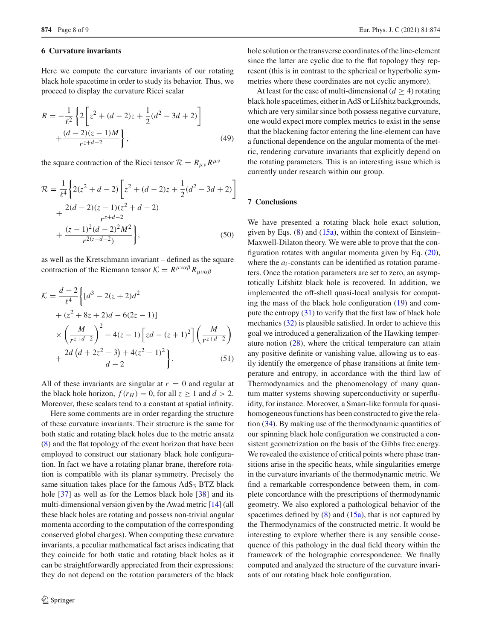#### **6 Curvature invariants**

Here we compute the curvature invariants of our rotating black hole spacetime in order to study its behavior. Thus, we proceed to display the curvature Ricci scalar

$$
R = -\frac{1}{\ell^2} \left\{ 2 \left[ z^2 + (d-2)z + \frac{1}{2} (d^2 - 3d + 2) \right] + \frac{(d-2)(z-1)M}{r^{z+d-2}} \right\},
$$
(49)

the square contraction of the Ricci tensor  $R = R_{\mu\nu} R^{\mu\nu}$ 

$$
\mathcal{R} = \frac{1}{\ell^4} \left\{ 2(z^2 + d - 2) \left[ z^2 + (d - 2)z + \frac{1}{2} (d^2 - 3d + 2) \right] + \frac{2(d - 2)(z - 1)(z^2 + d - 2)}{r^{z + d - 2}} + \frac{(z - 1)^2 (d - 2)^2 M^2}{r^{2(z + d - 2)}} \right\},\tag{50}
$$

as well as the Kretschmann invariant – defined as the square contraction of the Riemann tensor  $K = R^{\mu\nu\alpha\beta} R_{\mu\nu\alpha\beta}$ 

$$
\mathcal{K} = \frac{d-2}{\ell^4} \left\{ [d^3 - 2(z+2)d^2 + (z^2 + 8z + 2)d - 6(2z - 1)] \right\}
$$
  
 
$$
\times \left( \frac{M}{r^{z+d-2}} \right)^2 - 4(z-1) \left[ zd - (z+1)^2 \right] \left( \frac{M}{r^{z+d-2}} \right)
$$
  
 
$$
+ \frac{2d (d+2z^2-3) + 4(z^2-1)^2}{d-2} \right\}.
$$
 (51)

All of these invariants are singular at  $r = 0$  and regular at the black hole horizon,  $f(r_H) = 0$ , for all  $z \ge 1$  and  $d > 2$ . Moreover, these scalars tend to a constant at spatial infinity.

Here some comments are in order regarding the structure of these curvature invariants. Their structure is the same for both static and rotating black holes due to the metric ansatz [\(8\)](#page-1-3) and the flat topology of the event horizon that have been employed to construct our stationary black hole configuration. In fact we have a rotating planar brane, therefore rotation is compatible with its planar symmetry. Precisely the same situation takes place for the famous  $AdS<sub>3</sub> BTZ black$ hole [\[37\]](#page-8-28) as well as for the Lemos black hole [\[38](#page-8-29)] and its multi-dimensional version given by the Awad metric [\[14\]](#page-8-11) (all these black holes are rotating and possess non-trivial angular momenta according to the computation of the corresponding conserved global charges). When computing these curvature invariants, a peculiar mathematical fact arises indicating that they coincide for both static and rotating black holes as it can be straightforwardly appreciated from their expressions: they do not depend on the rotation parameters of the black hole solution or the transverse coordinates of the line-element since the latter are cyclic due to the flat topology they represent (this is in contrast to the spherical or hyperbolic symmetries where these coordinates are not cyclic anymore).

At least for the case of multi-dimensional  $(d > 4)$  rotating black hole spacetimes, either in AdS or Lifshitz backgrounds, which are very similar since both possess negative curvature, one would expect more complex metrics to exist in the sense that the blackening factor entering the line-element can have a functional dependence on the angular momenta of the metric, rendering curvature invariants that explicitly depend on the rotating parameters. This is an interesting issue which is currently under research within our group.

# <span id="page-7-0"></span>**7 Conclusions**

We have presented a rotating black hole exact solution, given by Eqs.  $(8)$  and  $(15a)$ , within the context of Einstein– Maxwell-Dilaton theory. We were able to prove that the configuration rotates with angular momenta given by Eq. [\(20\)](#page-3-5), where the  $a_i$ -constants can be identified as rotation parameters. Once the rotation parameters are set to zero, an asymptotically Lifshitz black hole is recovered. In addition, we implemented the off-shell quasi-local analysis for computing the mass of the black hole configuration [\(19\)](#page-3-4) and compute the entropy [\(31\)](#page-4-3) to verify that the first law of black hole mechanics [\(32\)](#page-4-4) is plausible satisfied. In order to achieve this goal we introduced a generalization of the Hawking temperature notion [\(28\)](#page-4-2), where the critical temperature can attain any positive definite or vanishing value, allowing us to easily identify the emergence of phase transitions at finite temperature and entropy, in accordance with the third law of Thermodynamics and the phenomenology of many quantum matter systems showing superconductivity or superfluidity, for instance. Moreover, a Smarr-like formula for quasihomogeneous functions has been constructed to give the relation [\(34\)](#page-4-5). By making use of the thermodynamic quantities of our spinning black hole configuration we constructed a consistent geometrization on the basis of the Gibbs free energy. We revealed the existence of critical points where phase transitions arise in the specific heats, while singularities emerge in the curvature invariants of the thermodynamic metric. We find a remarkable correspondence between them, in complete concordance with the prescriptions of thermodynamic geometry. We also explored a pathological behavior of the spacetimes defined by  $(8)$  and  $(15a)$ , that is not captured by the Thermodynamics of the constructed metric. It would be interesting to explore whether there is any sensible consequence of this pathology in the dual field theory within the framework of the holographic correspondence. We finally computed and analyzed the structure of the curvature invariants of our rotating black hole configuration.